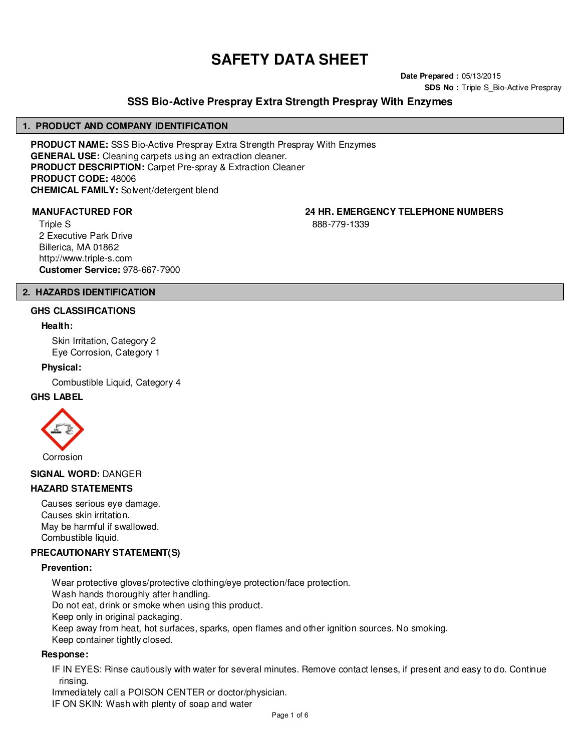# **SAFETY DATA SHEET**

**Date Prepared :** 05/13/2015 **SDS No : Triple S Bio-Active Prespray** 

# **SSS Bio-Active Prespray Extra Strength Prespray With Enzymes**

#### **1. PRODUCT AND COMPANY IDENTIFICATION**

**PRODUCT NAME:** SSS Bio-Active Prespray Extra Strength Prespray With Enzymes **GENERAL USE:** Cleaning carpets using an extraction cleaner. **PRODUCT DESCRIPTION:** Carpet Pre-spray & Extraction Cleaner **PRODUCT CODE:** 48006 **CHEMICAL FAMILY:** Solvent/detergent blend

Triple S 2 Executive Park Drive Billerica, MA 01862 http://www.triple-s.com **Customer Service:** 978-667-7900

**MANUFACTURED FOR 24 HR. EMERGENCY TELEPHONE NUMBERS**

888-779-1339

# **2. HAZARDS IDENTIFICATION**

#### **GHS CLASSIFICATIONS**

#### **Health:**

Skin Irritation, Category 2 Eye Corrosion, Category 1

#### **Physical:**

Combustible Liquid, Category 4

#### **GHS LABEL**



#### **SIGNAL WORD:** DANGER

#### **HAZARD STATEMENTS**

Causes serious eye damage. Causes skin irritation. May be harmful if swallowed. Combustible liquid.

#### **PRECAUTIONARY STATEMENT(S)**

#### **Prevention:**

Wear protective gloves/protective clothing/eye protection/face protection. Wash hands thoroughly after handling. Do not eat, drink or smoke when using this product. Keep only in original packaging.

Keep away from heat, hot surfaces, sparks, open flames and other ignition sources. No smoking.

Keep container tightly closed.

#### **Response:**

IF IN EYES: Rinse cautiously with water for several minutes. Remove contact lenses, if present and easy to do. Continue rinsing.

Immediately call a POISON CENTER or doctor/physician.

IF ON SKIN: Wash with plenty of soap and water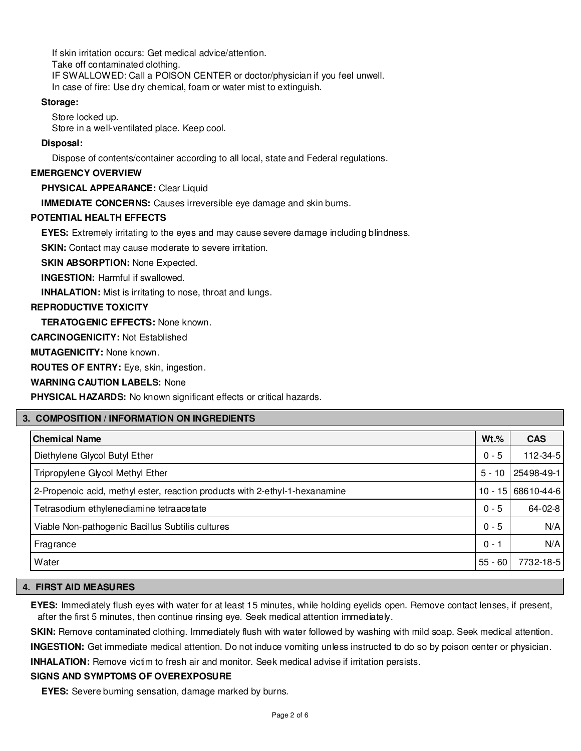If skin irritation occurs: Get medical advice/attention. Take off contaminated clothing. IF SWALLOWED: Call a POISON CENTER or doctor/physician if you feel unwell. In case of fire: Use dry chemical, foam or water mist to extinguish.

# **Storage:**

Store locked up. Store in a well-ventilated place. Keep cool.

# **Disposal:**

Dispose of contents/container according to all local, state and Federal regulations.

#### **EMERGENCY OVERVIEW**

**PHYSICAL APPEARANCE:** Clear Liquid

**IMMEDIATE CONCERNS:** Causes irreversible eye damage and skin burns.

# **POTENTIAL HEALTH EFFECTS**

**EYES:** Extremely irritating to the eyes and may cause severe damage including blindness.

**SKIN:** Contact may cause moderate to severe irritation.

**SKIN ABSORPTION: None Expected.** 

**INGESTION:** Harmful if swallowed.

**INHALATION:** Mist is irritating to nose, throat and lungs.

# **REPRODUCTIVE TOXICITY**

**TERATOGENIC EFFECTS:** None known.

**CARCINOGENICITY:** Not Established

**MUTAGENICITY:** None known.

**ROUTES OF ENTRY:** Eye, skin, ingestion.

**WARNING CAUTION LABELS:** None

**PHYSICAL HAZARDS:** No known significant effects or critical hazards.

# **3. COMPOSITION / INFORMATION ON INGREDIENTS**

| <b>Chemical Name</b>                                                        | $Wt.\%$   | <b>CAS</b>     |
|-----------------------------------------------------------------------------|-----------|----------------|
| Diethylene Glycol Butyl Ether                                               | $0 - 5$   | $112 - 34 - 5$ |
| Tripropylene Glycol Methyl Ether                                            | $5 - 10$  | 25498-49-1     |
| 2-Propenoic acid, methyl ester, reaction products with 2-ethyl-1-hexanamine | $10 - 15$ | 68610-44-6     |
| Tetrasodium ethylenediamine tetraacetate                                    | $0 - 5$   | 64-02-8        |
| Viable Non-pathogenic Bacillus Subtilis cultures                            | $0 - 5$   | N/A            |
| Fragrance                                                                   | 0 - 1     | N/A            |
| Water                                                                       | $55 - 60$ | 7732-18-5      |

#### **4. FIRST AID MEASURES**

**EYES:** Immediately flush eyes with water for at least 15 minutes, while holding eyelids open. Remove contact lenses, if present, after the first 5 minutes, then continue rinsing eye. Seek medical attention immediately.

SKIN: Remove contaminated clothing. Immediately flush with water followed by washing with mild soap. Seek medical attention.

**INGESTION:** Get immediate medical attention. Do not induce vomiting unless instructed to do so by poison center or physician.

**INHALATION:** Remove victim to fresh air and monitor. Seek medical advise if irritation persists.

#### **SIGNS AND SYMPTOMS OF OVEREXPOSURE**

**EYES:** Severe burning sensation, damage marked by burns.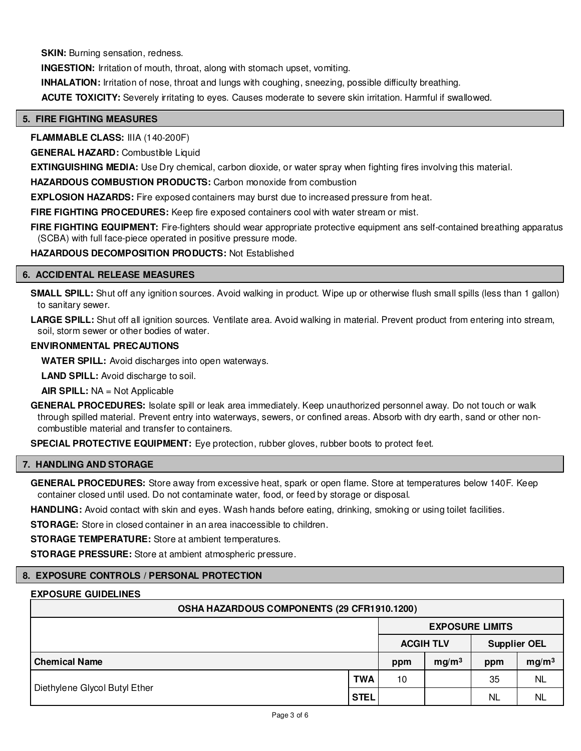**SKIN:** Burning sensation, redness.

**INGESTION:** Irritation of mouth, throat, along with stomach upset, vomiting.

**INHALATION:** Irritation of nose, throat and lungs with coughing, sneezing, possible difficulty breathing.

**ACUTE TOXICITY:** Severely irritating to eyes. Causes moderate to severe skin irritation. Harmful if swallowed.

#### **5. FIRE FIGHTING MEASURES**

**FLAMMABLE CLASS:** IIIA (140-200F)

**GENERAL HAZARD:** Combustible Liquid

**EXTINGUISHING MEDIA:** Use Dry chemical, carbon dioxide, or water spray when fighting fires involving this material.

**HAZARDOUS COMBUSTION PRODUCTS:** Carbon monoxide from combustion

**EXPLOSION HAZARDS:** Fire exposed containers may burst due to increased pressure from heat.

**FIRE FIGHTING PROCEDURES:** Keep fire exposed containers cool with water stream or mist.

**FIRE FIGHTING EQUIPMENT:** Fire-fighters should wear appropriate protective equipment ans self-contained breathing apparatus (SCBA) with full face-piece operated in positive pressure mode.

**HAZARDOUS DECOMPOSITION PRODUCTS:** Not Established

#### **6. ACCIDENTAL RELEASE MEASURES**

**SMALL SPILL:** Shut off any ignition sources. Avoid walking in product. Wipe up or otherwise flush small spills (less than 1 gallon) to sanitary sewer.

LARGE SPILL: Shut off all ignition sources. Ventilate area. Avoid walking in material. Prevent product from entering into stream, soil, storm sewer or other bodies of water.

#### **ENVIRONMENTAL PRECAUTIONS**

**WATER SPILL:** Avoid discharges into open waterways.

**LAND SPILL:** Avoid discharge to soil.

**AIR SPILL:** NA = Not Applicable

**GENERAL PROCEDURES:** Isolate spill or leak area immediately. Keep unauthorized personnel away. Do not touch or walk through spilled material. Prevent entry into waterways, sewers, or confined areas. Absorb with dry earth, sand or other noncombustible material and transfer to containers.

**SPECIAL PROTECTIVE EQUIPMENT:** Eye protection, rubber gloves, rubber boots to protect feet.

#### **7. HANDLING AND STORAGE**

**GENERAL PROCEDURES:** Store away from excessive heat, spark or open flame. Store at temperatures below 140F. Keep container closed until used. Do not contaminate water, food, or feed by storage or disposal.

**HANDLING:** Avoid contact with skin and eyes. Wash hands before eating, drinking, smoking or using toilet facilities.

**STORAGE:** Store in closed container in an area inaccessible to children.

**STORAGE TEMPERATURE:** Store at ambient temperatures.

**STORAGE PRESSURE:** Store at ambient atmospheric pressure.

#### **8. EXPOSURE CONTROLS / PERSONAL PROTECTION**

#### **EXPOSURE GUIDELINES**

| OSHA HAZARDOUS COMPONENTS (29 CFR1910.1200) |             |                                         |                   |     |                   |  |  |
|---------------------------------------------|-------------|-----------------------------------------|-------------------|-----|-------------------|--|--|
|                                             |             | <b>EXPOSURE LIMITS</b>                  |                   |     |                   |  |  |
|                                             |             | <b>Supplier OEL</b><br><b>ACGIH TLV</b> |                   |     |                   |  |  |
| <b>Chemical Name</b>                        |             | ppm                                     | mq/m <sup>3</sup> | ppm | mg/m <sup>3</sup> |  |  |
|                                             | <b>TWA</b>  | 10                                      |                   | 35  | <b>NL</b>         |  |  |
| Diethylene Glycol Butyl Ether               | <b>STEL</b> |                                         |                   | NL  | NL                |  |  |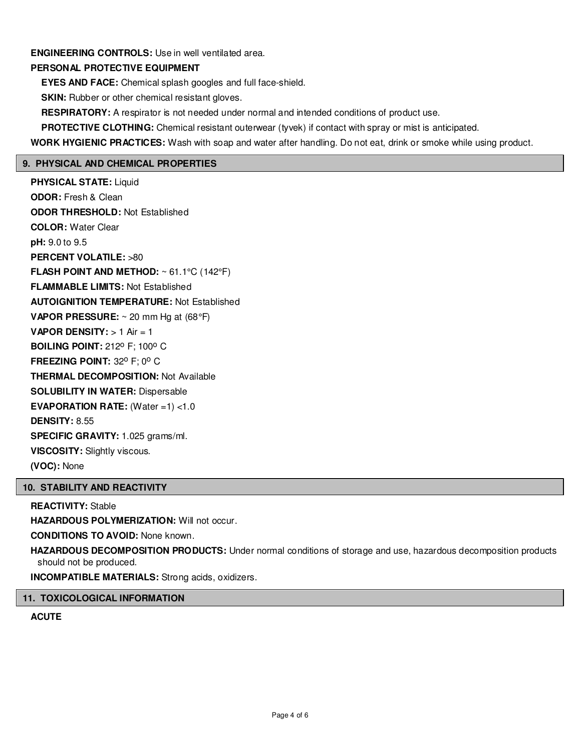# **ENGINEERING CONTROLS:** Use in well ventilated area.

# **PERSONAL PROTECTIVE EQUIPMENT**

**EYES AND FACE:** Chemical splash googles and full face-shield.

**SKIN:** Rubber or other chemical resistant gloves.

**RESPIRATORY:** A respirator is not needed under normal and intended conditions of product use.

**PROTECTIVE CLOTHING:** Chemical resistant outerwear (tyvek) if contact with spray or mist is anticipated.

**WORK HYGIENIC PRACTICES:** Wash with soap and water after handling. Do not eat, drink or smoke while using product.

# **9. PHYSICAL AND CHEMICAL PROPERTIES**

**PHYSICAL STATE:** Liquid **ODOR:** Fresh & Clean **ODOR THRESHOLD:** Not Established **COLOR:** Water Clear **pH:** 9.0 to 9.5 **PERCENT VOLATILE:** >80 **FLASH POINT AND METHOD:** ~ 61.1°C (142°F) **FLAMMABLE LIMITS:** Not Established **AUTOIGNITION TEMPERATURE:** Not Established **VAPOR PRESSURE:** ~ 20 mm Hg at (68°F) **VAPOR DENSITY:** > 1 Air = 1 **BOILING POINT: 212° F: 100° C FREEZING POINT: 32° F; 0° C THERMAL DECOMPOSITION:** Not Available **SOLUBILITY IN WATER:** Dispersable **EVAPORATION RATE:** (Water =1) <1.0 **DENSITY:** 8.55 **SPECIFIC GRAVITY:** 1.025 grams/ml. **VISCOSITY:** Slightly viscous. **(VOC):** None

# **10. STABILITY AND REACTIVITY**

#### **REACTIVITY:** Stable

**HAZARDOUS POLYMERIZATION:** Will not occur.

**CONDITIONS TO AVOID:** None known.

**HAZARDOUS DECOMPOSITION PRODUCTS:** Under normal conditions of storage and use, hazardous decomposition products should not be produced.

**INCOMPATIBLE MATERIALS:** Strong acids, oxidizers.

# **11. TOXICOLOGICAL INFORMATION**

# **ACUTE**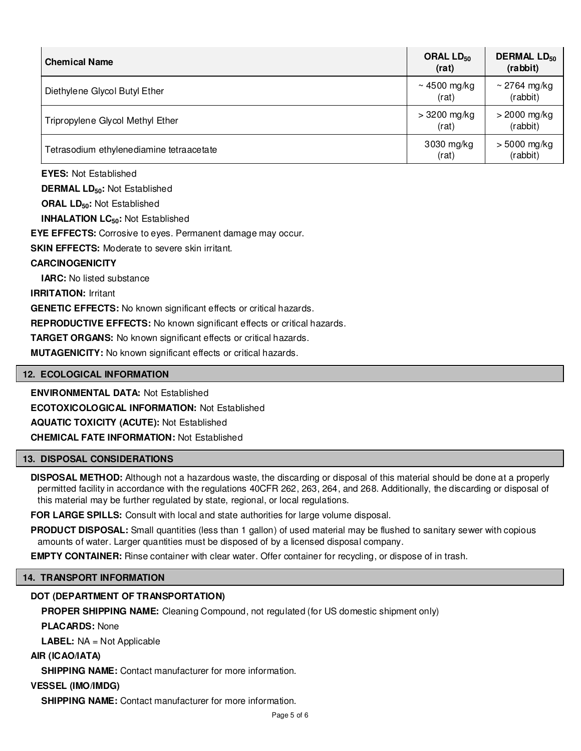| <b>Chemical Name</b>                     | ORAL LD <sub>50</sub><br>(rat) | <b>DERMAL LD<sub>50</sub></b><br>(rabbit) |
|------------------------------------------|--------------------------------|-------------------------------------------|
| Diethylene Glycol Butyl Ether            | ~4500 mg/kg<br>(rat)           | $\sim$ 2764 mg/kg<br>(rabbit)             |
| Tripropylene Glycol Methyl Ether         | $>3200$ mg/kg<br>(rat)         | $>$ 2000 mg/kg<br>(rabbit)                |
| Tetrasodium ethylenediamine tetraacetate | 3030 mg/kg<br>(rat)            | $>$ 5000 mg/kg<br>(rabbit)                |

**EYES:** Not Established

**DERMAL LD50:** Not Established

**ORAL LD50:** Not Established

**INHALATION LC50:** Not Established

**EYE EFFECTS:** Corrosive to eyes. Permanent damage may occur.

**SKIN EFFECTS:** Moderate to severe skin irritant.

# **CARCINOGENICITY**

**IARC:** No listed substance

**IRRITATION:** Irritant

**GENETIC EFFECTS:** No known significant effects or critical hazards.

**REPRODUCTIVE EFFECTS:** No known significant effects or critical hazards.

**TARGET ORGANS:** No known significant effects or critical hazards.

**MUTAGENICITY:** No known significant effects or critical hazards.

# **12. ECOLOGICAL INFORMATION**

**ENVIRONMENTAL DATA:** Not Established

**ECOTOXICOLOGICAL INFORMATION:** Not Established

**AQUATIC TOXICITY (ACUTE):** Not Established

**CHEMICAL FATE INFORMATION:** Not Established

# **13. DISPOSAL CONSIDERATIONS**

**DISPOSAL METHOD:** Although not a hazardous waste, the discarding or disposal of this material should be done at a properly permitted facility in accordance with the regulations 40CFR 262, 263, 264, and 268. Additionally, the discarding or disposal of this material may be further regulated by state, regional, or local regulations.

**FOR LARGE SPILLS:** Consult with local and state authorities for large volume disposal.

**PRODUCT DISPOSAL:** Small quantities (less than 1 gallon) of used material may be flushed to sanitary sewer with copious amounts of water. Larger quantities must be disposed of by a licensed disposal company.

**EMPTY CONTAINER:** Rinse container with clear water. Offer container for recycling, or dispose of in trash.

# **14. TRANSPORT INFORMATION**

# **DOT (DEPARTMENT OF TRANSPORTATION)**

**PROPER SHIPPING NAME:** Cleaning Compound, not regulated (for US domestic shipment only)

**PLACARDS:** None

**LABEL:** NA = Not Applicable

**AIR (ICAO/IATA)**

**SHIPPING NAME:** Contact manufacturer for more information.

# **VESSEL (IMO/IMDG)**

**SHIPPING NAME:** Contact manufacturer for more information.